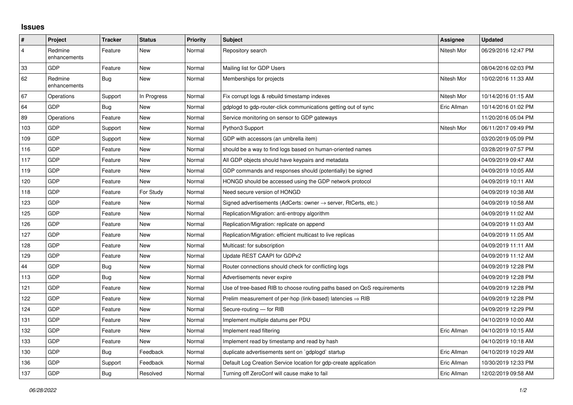## **Issues**

| $\vert$ #      | Project                 | <b>Tracker</b> | <b>Status</b> | <b>Priority</b> | <b>Subject</b>                                                             | Assignee    | <b>Updated</b>      |
|----------------|-------------------------|----------------|---------------|-----------------|----------------------------------------------------------------------------|-------------|---------------------|
| $\overline{4}$ | Redmine<br>enhancements | Feature        | <b>New</b>    | Normal          | Repository search                                                          | Nitesh Mor  | 06/29/2016 12:47 PM |
| $33\,$         | <b>GDP</b>              | Feature        | New           | Normal          | Mailing list for GDP Users                                                 |             | 08/04/2016 02:03 PM |
| 62             | Redmine<br>enhancements | Bug            | <b>New</b>    | Normal          | Memberships for projects                                                   | Nitesh Mor  | 10/02/2016 11:33 AM |
| 67             | Operations              | Support        | In Progress   | Normal          | Fix corrupt logs & rebuild timestamp indexes                               | Nitesh Mor  | 10/14/2016 01:15 AM |
| 64             | GDP                     | <b>Bug</b>     | <b>New</b>    | Normal          | gdplogd to gdp-router-click communications getting out of sync             | Eric Allman | 10/14/2016 01:02 PM |
| 89             | Operations              | Feature        | <b>New</b>    | Normal          | Service monitoring on sensor to GDP gateways                               |             | 11/20/2016 05:04 PM |
| 103            | <b>GDP</b>              | Support        | <b>New</b>    | Normal          | Python3 Support                                                            | Nitesh Mor  | 06/11/2017 09:49 PM |
| 109            | <b>GDP</b>              | Support        | <b>New</b>    | Normal          | GDP with accessors (an umbrella item)                                      |             | 03/20/2019 05:09 PM |
| 116            | GDP                     | Feature        | <b>New</b>    | Normal          | should be a way to find logs based on human-oriented names                 |             | 03/28/2019 07:57 PM |
| 117            | <b>GDP</b>              | Feature        | <b>New</b>    | Normal          | All GDP objects should have keypairs and metadata                          |             | 04/09/2019 09:47 AM |
| 119            | <b>GDP</b>              | Feature        | <b>New</b>    | Normal          | GDP commands and responses should (potentially) be signed                  |             | 04/09/2019 10:05 AM |
| 120            | GDP                     | Feature        | <b>New</b>    | Normal          | HONGD should be accessed using the GDP network protocol                    |             | 04/09/2019 10:11 AM |
| 118            | <b>GDP</b>              | Feature        | For Study     | Normal          | Need secure version of HONGD                                               |             | 04/09/2019 10:38 AM |
| 123            | <b>GDP</b>              | Feature        | New           | Normal          | Signed advertisements (AdCerts: owner $\rightarrow$ server, RtCerts, etc.) |             | 04/09/2019 10:58 AM |
| 125            | GDP                     | Feature        | <b>New</b>    | Normal          | Replication/Migration: anti-entropy algorithm                              |             | 04/09/2019 11:02 AM |
| 126            | <b>GDP</b>              | Feature        | <b>New</b>    | Normal          | Replication/Migration: replicate on append                                 |             | 04/09/2019 11:03 AM |
| 127            | GDP                     | Feature        | New           | Normal          | Replication/Migration: efficient multicast to live replicas                |             | 04/09/2019 11:05 AM |
| 128            | GDP                     | Feature        | <b>New</b>    | Normal          | Multicast: for subscription                                                |             | 04/09/2019 11:11 AM |
| 129            | <b>GDP</b>              | Feature        | <b>New</b>    | Normal          | Update REST CAAPI for GDPv2                                                |             | 04/09/2019 11:12 AM |
| 44             | GDP                     | Bug            | <b>New</b>    | Normal          | Router connections should check for conflicting logs                       |             | 04/09/2019 12:28 PM |
| 113            | <b>GDP</b>              | Bug            | <b>New</b>    | Normal          | Advertisements never expire                                                |             | 04/09/2019 12:28 PM |
| 121            | <b>GDP</b>              | Feature        | <b>New</b>    | Normal          | Use of tree-based RIB to choose routing paths based on QoS requirements    |             | 04/09/2019 12:28 PM |
| 122            | GDP                     | Feature        | <b>New</b>    | Normal          | Prelim measurement of per-hop (link-based) latencies $\Rightarrow$ RIB     |             | 04/09/2019 12:28 PM |
| 124            | <b>GDP</b>              | Feature        | <b>New</b>    | Normal          | Secure-routing - for RIB                                                   |             | 04/09/2019 12:29 PM |
| 131            | GDP                     | Feature        | <b>New</b>    | Normal          | Implement multiple datums per PDU                                          |             | 04/10/2019 10:00 AM |
| 132            | GDP                     | Feature        | <b>New</b>    | Normal          | Implement read filtering                                                   | Eric Allman | 04/10/2019 10:15 AM |
| 133            | <b>GDP</b>              | Feature        | <b>New</b>    | Normal          | Implement read by timestamp and read by hash                               |             | 04/10/2019 10:18 AM |
| 130            | GDP                     | Bug            | Feedback      | Normal          | duplicate advertisements sent on `gdplogd` startup                         | Eric Allman | 04/10/2019 10:29 AM |
| 136            | GDP                     | Support        | Feedback      | Normal          | Default Log Creation Service location for gdp-create application           | Eric Allman | 10/30/2019 12:33 PM |
| 137            | <b>GDP</b>              | Bug            | Resolved      | Normal          | Turning off ZeroConf will cause make to fail                               | Eric Allman | 12/02/2019 09:58 AM |